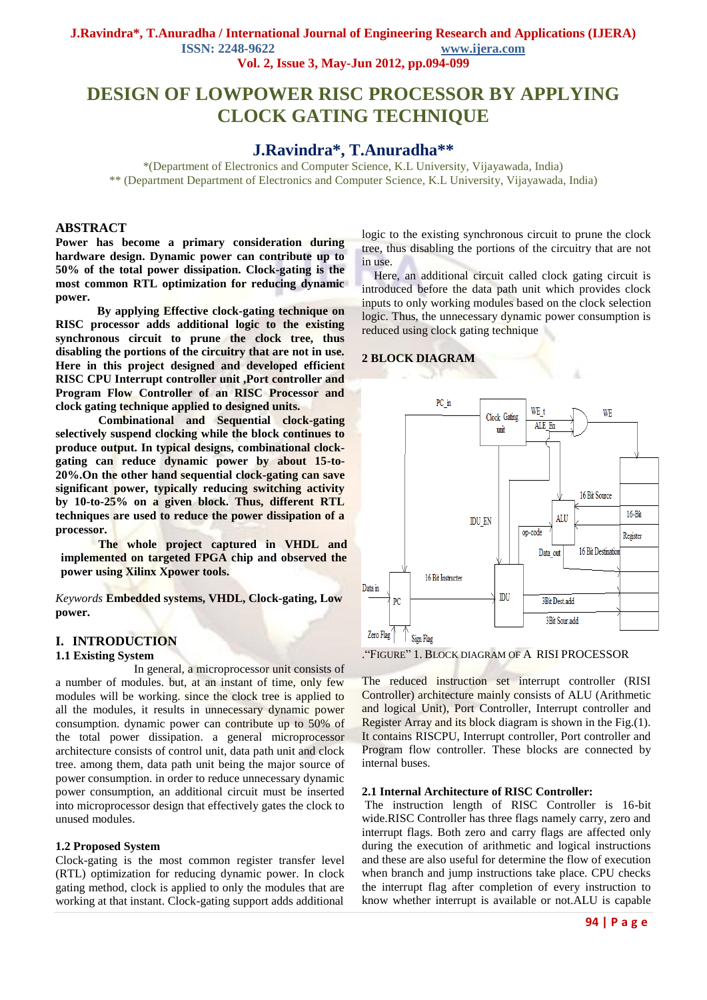**J.Ravindra\*, T.Anuradha / International Journal of Engineering Research and Applications (IJERA) ISSN: 2248-9622 www.ijera.com**

**Vol. 2, Issue 3, May-Jun 2012, pp.094-099**

# **DESIGN OF LOWPOWER RISC PROCESSOR BY APPLYING CLOCK GATING TECHNIQUE**

## **J.Ravindra\*, T.Anuradha\*\***

\*(Department of Electronics and Computer Science, K.L University, Vijayawada, India) \*\* (Department Department of Electronics and Computer Science, K.L University, Vijayawada, India)

### **ABSTRACT**

**Power has become a primary consideration during hardware design. Dynamic power can contribute up to 50% of the total power dissipation. Clock-gating is the most common RTL optimization for reducing dynamic power.** 

 **By applying Effective clock-gating technique on RISC processor adds additional logic to the existing synchronous circuit to prune the clock tree, thus disabling the portions of the circuitry that are not in use. Here in this project designed and developed efficient RISC CPU Interrupt controller unit ,Port controller and Program Flow Controller of an RISC Processor and clock gating technique applied to designed units.** 

**Combinational and Sequential clock-gating selectively suspend clocking while the block continues to produce output. In typical designs, combinational clockgating can reduce dynamic power by about 15-to-20%.On the other hand sequential clock-gating can save significant power, typically reducing switching activity by 10-to-25% on a given block. Thus, different RTL techniques are used to reduce the power dissipation of a processor.**

**The whole project captured in VHDL and implemented on targeted FPGA chip and observed the power using Xilinx Xpower tools.**

*Keywords* **Embedded systems, VHDL, Clock-gating, Low power.**

#### **I. INTRODUCTION**

#### **1.1 Existing System**

 In general, a microprocessor unit consists of a number of modules. but, at an instant of time, only few modules will be working. since the clock tree is applied to all the modules, it results in unnecessary dynamic power consumption. dynamic power can contribute up to 50% of the total power dissipation. a general microprocessor architecture consists of control unit, data path unit and clock tree. among them, data path unit being the major source of power consumption. in order to reduce unnecessary dynamic power consumption, an additional circuit must be inserted into microprocessor design that effectively gates the clock to unused modules.

#### **1.2 Proposed System**

Clock-gating is the most common register transfer level (RTL) optimization for reducing dynamic power. In clock gating method, clock is applied to only the modules that are working at that instant. Clock-gating support adds additional logic to the existing synchronous circuit to prune the clock tree, thus disabling the portions of the circuitry that are not in use.

 Here, an additional circuit called clock gating circuit is introduced before the data path unit which provides clock inputs to only working modules based on the clock selection logic. Thus, the unnecessary dynamic power consumption is reduced using clock gating technique

#### **2 BLOCK DIAGRAM**



."FIGURE" 1. BLOCK DIAGRAM OF A RISI PROCESSOR

The reduced instruction set interrupt controller (RISI Controller) architecture mainly consists of ALU (Arithmetic and logical Unit), Port Controller, Interrupt controller and Register Array and its block diagram is shown in the Fig.(1). It contains RISCPU, Interrupt controller, Port controller and Program flow controller. These blocks are connected by internal buses.

#### **2.1 Internal Architecture of RISC Controller:**

The instruction length of RISC Controller is 16-bit wide.RISC Controller has three flags namely carry, zero and interrupt flags. Both zero and carry flags are affected only during the execution of arithmetic and logical instructions and these are also useful for determine the flow of execution when branch and jump instructions take place. CPU checks the interrupt flag after completion of every instruction to know whether interrupt is available or not.ALU is capable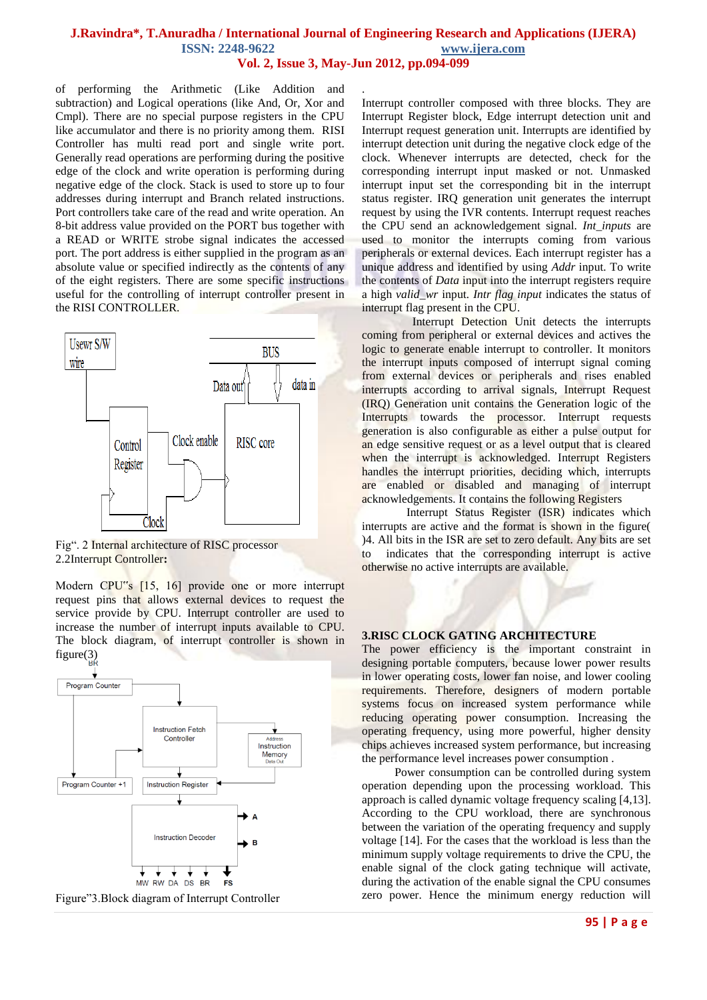# **J.Ravindra\*, T.Anuradha / International Journal of Engineering Research and Applications (IJERA) ISSN: 2248-9622 www.ijera.com**

**Vol. 2, Issue 3, May-Jun 2012, pp.094-099**

.

of performing the Arithmetic (Like Addition and subtraction) and Logical operations (like And, Or, Xor and Cmpl). There are no special purpose registers in the CPU like accumulator and there is no priority among them. RISI Controller has multi read port and single write port. Generally read operations are performing during the positive edge of the clock and write operation is performing during negative edge of the clock. Stack is used to store up to four addresses during interrupt and Branch related instructions. Port controllers take care of the read and write operation. An 8-bit address value provided on the PORT bus together with a READ or WRITE strobe signal indicates the accessed port. The port address is either supplied in the program as an absolute value or specified indirectly as the contents of any of the eight registers. There are some specific instructions useful for the controlling of interrupt controller present in the RISI CONTROLLER.



Fig". 2 Internal architecture of RISC processor 2.2Interrupt Controller**:**

Modern CPU"s [15, 16] provide one or more interrupt request pins that allows external devices to request the service provide by CPU. Interrupt controller are used to increase the number of interrupt inputs available to CPU. The block diagram, of interrupt controller is shown in  $figure(3)$ 



Figure"3.Block diagram of Interrupt Controller

Interrupt controller composed with three blocks. They are Interrupt Register block, Edge interrupt detection unit and Interrupt request generation unit. Interrupts are identified by interrupt detection unit during the negative clock edge of the clock. Whenever interrupts are detected, check for the corresponding interrupt input masked or not. Unmasked interrupt input set the corresponding bit in the interrupt status register. IRQ generation unit generates the interrupt request by using the IVR contents. Interrupt request reaches the CPU send an acknowledgement signal. *Int\_inputs* are used to monitor the interrupts coming from various peripherals or external devices. Each interrupt register has a unique address and identified by using *Addr* input. To write the contents of *Data* input into the interrupt registers require a high *valid\_wr* input. *Intr flag input* indicates the status of interrupt flag present in the CPU.

 Interrupt Detection Unit detects the interrupts coming from peripheral or external devices and actives the logic to generate enable interrupt to controller. It monitors the interrupt inputs composed of interrupt signal coming from external devices or peripherals and rises enabled interrupts according to arrival signals, Interrupt Request (IRQ) Generation unit contains the Generation logic of the Interrupts towards the processor. Interrupt requests generation is also configurable as either a pulse output for an edge sensitive request or as a level output that is cleared when the interrupt is acknowledged. Interrupt Registers handles the interrupt priorities, deciding which, interrupts are enabled or disabled and managing of interrupt acknowledgements. It contains the following Registers

 Interrupt Status Register (ISR) indicates which interrupts are active and the format is shown in the figure( )4. All bits in the ISR are set to zero default. Any bits are set to indicates that the corresponding interrupt is active otherwise no active interrupts are available.

#### **3.RISC CLOCK GATING ARCHITECTURE**

The power efficiency is the important constraint in designing portable computers, because lower power results in lower operating costs, lower fan noise, and lower cooling requirements. Therefore, designers of modern portable systems focus on increased system performance while reducing operating power consumption. Increasing the operating frequency, using more powerful, higher density chips achieves increased system performance, but increasing the performance level increases power consumption .

 Power consumption can be controlled during system operation depending upon the processing workload. This approach is called dynamic voltage frequency scaling [4,13]. According to the CPU workload, there are synchronous between the variation of the operating frequency and supply voltage [14]. For the cases that the workload is less than the minimum supply voltage requirements to drive the CPU, the enable signal of the clock gating technique will activate, during the activation of the enable signal the CPU consumes zero power. Hence the minimum energy reduction will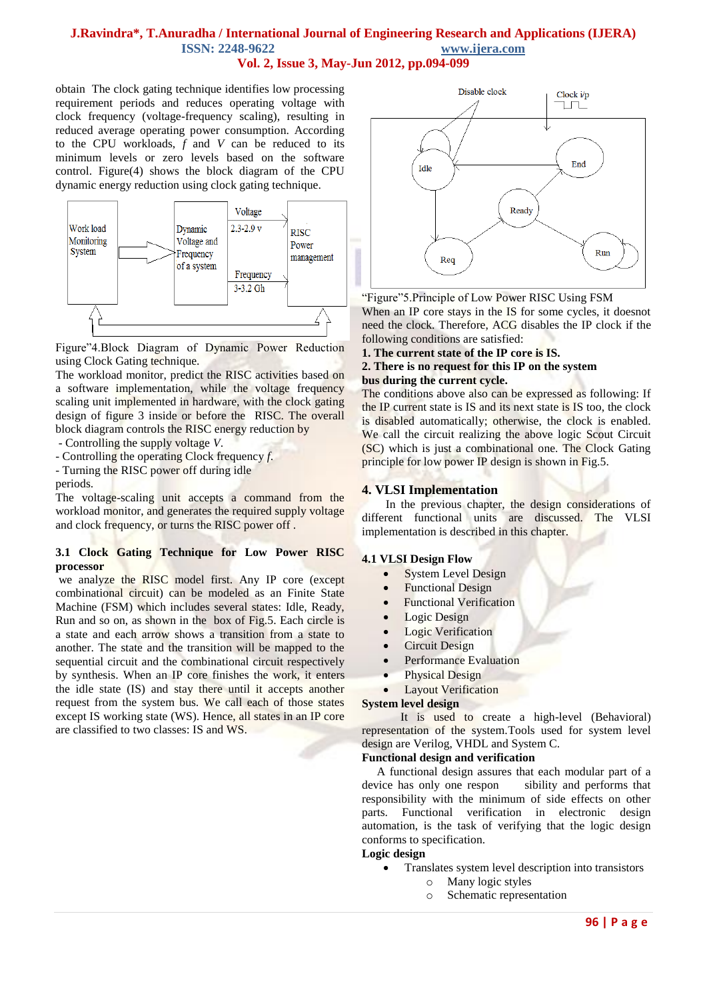### **J.Ravindra\*, T.Anuradha / International Journal of Engineering Research and Applications (IJERA) ISSN: 2248-9622 www.ijera.com Vol. 2, Issue 3, May-Jun 2012, pp.094-099**

obtain The clock gating technique identifies low processing requirement periods and reduces operating voltage with clock frequency (voltage-frequency scaling), resulting in reduced average operating power consumption. According to the CPU workloads, *f* and *V* can be reduced to its minimum levels or zero levels based on the software control. Figure(4) shows the block diagram of the CPU dynamic energy reduction using clock gating technique.



Figure"4.Block Diagram of Dynamic Power Reduction using Clock Gating technique.

The workload monitor, predict the RISC activities based on a software implementation, while the voltage frequency scaling unit implemented in hardware, with the clock gating design of figure 3 inside or before the RISC. The overall block diagram controls the RISC energy reduction by

- Controlling the supply voltage *V*.

- Controlling the operating Clock frequency *f*.

- Turning the RISC power off during idle

periods.

The voltage-scaling unit accepts a command from the workload monitor, and generates the required supply voltage and clock frequency, or turns the RISC power off .

### **3.1 Clock Gating Technique for Low Power RISC processor**

we analyze the RISC model first. Any IP core (except combinational circuit) can be modeled as an Finite State Machine (FSM) which includes several states: Idle, Ready, Run and so on, as shown in the box of Fig.5. Each circle is a state and each arrow shows a transition from a state to another. The state and the transition will be mapped to the sequential circuit and the combinational circuit respectively by synthesis. When an IP core finishes the work, it enters the idle state (IS) and stay there until it accepts another request from the system bus. We call each of those states except IS working state (WS). Hence, all states in an IP core are classified to two classes: IS and WS.



"Figure"5.Principle of Low Power RISC Using FSM When an IP core stays in the IS for some cycles, it doesnot need the clock. Therefore, ACG disables the IP clock if the following conditions are satisfied:

#### **1. The current state of the IP core is IS.**

### **2. There is no request for this IP on the system bus during the current cycle.**

The conditions above also can be expressed as following: If the IP current state is IS and its next state is IS too, the clock is disabled automatically; otherwise, the clock is enabled. We call the circuit realizing the above logic Scout Circuit (SC) which is just a combinational one. The Clock Gating principle for low power IP design is shown in Fig.5.

### **4. VLSI Implementation**

In the previous chapter, the design considerations of different functional units are discussed. The VLSI implementation is described in this chapter.

### **4.1 VLSI Design Flow**

- System Level Design
- Functional Design
- Functional Verification
- Logic Design
- Logic Verification
- Circuit Design
- Performance Evaluation
- Physical Design
- Layout Verification

### **System level design**

 It is used to create a high-level (Behavioral) representation of the system.Tools used for system level design are Verilog, VHDL and System C.

### **Functional design and verification**

 A functional design assures that each modular part of a device has only one respon sibility and performs that responsibility with the minimum of side effects on other parts. Functional verification in electronic design automation, is the task of verifying that the logic design conforms to specification.

### **Logic design**

- Translates system level description into transistors
	- o Many logic styles
	- o Schematic representation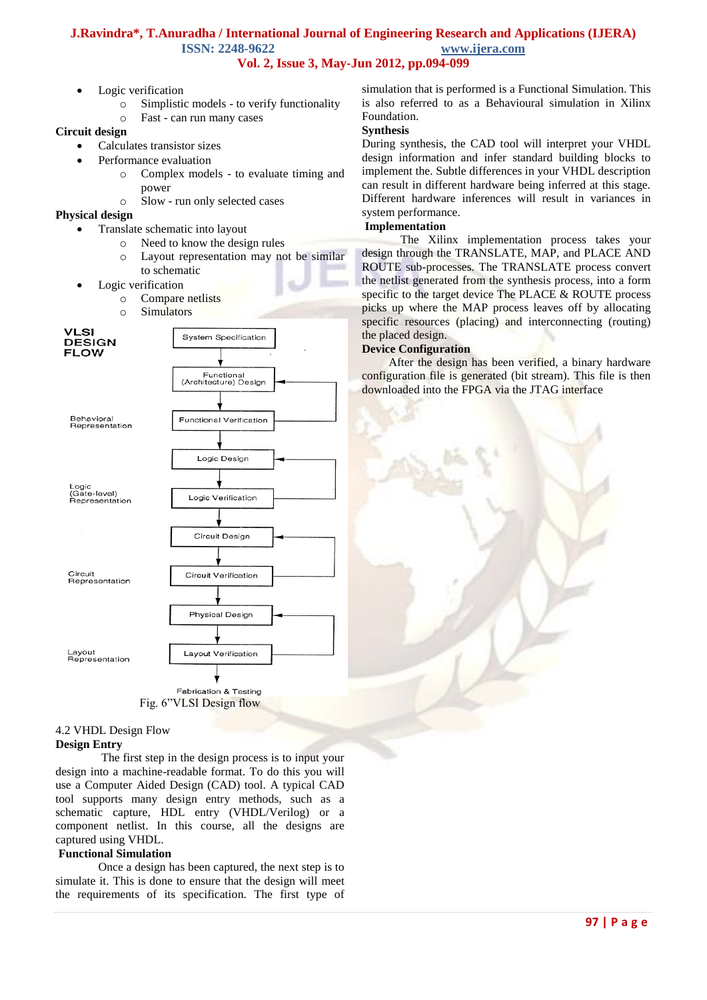### **J.Ravindra\*, T.Anuradha / International Journal of Engineering Research and Applications (IJERA) ISSN: 2248-9622 www.ijera.com Vol. 2, Issue 3, May-Jun 2012, pp.094-099**

- Logic verification
	- o Simplistic models to verify functionality
	- o Fast can run many cases

### **Circuit design**

- Calculates transistor sizes
	- Performance evaluation
		- o Complex models to evaluate timing and power
		- o Slow run only selected cases

### **Physical design**

- Translate schematic into layout
	- o Need to know the design rules
		- o Layout representation may not be similar to schematic
- Logic verification
	- o Compare netlists
	- o Simulators



Fig. 6"VLSI Design flow

### 4.2 VHDL Design Flow

#### **Design Entry**

The first step in the design process is to input your design into a machine-readable format. To do this you will use a Computer Aided Design (CAD) tool. A typical CAD tool supports many design entry methods, such as a schematic capture, HDL entry (VHDL/Verilog) or a component netlist. In this course, all the designs are captured using VHDL.

### **Functional Simulation**

Once a design has been captured, the next step is to simulate it. This is done to ensure that the design will meet the requirements of its specification. The first type of

simulation that is performed is a Functional Simulation. This is also referred to as a Behavioural simulation in Xilinx Foundation.

### **Synthesis**

During synthesis, the CAD tool will interpret your VHDL design information and infer standard building blocks to implement the. Subtle differences in your VHDL description can result in different hardware being inferred at this stage. Different hardware inferences will result in variances in system performance.

### **Implementation**

 The Xilinx implementation process takes your design through the TRANSLATE, MAP, and PLACE AND ROUTE sub-processes. The TRANSLATE process convert the netlist generated from the synthesis process, into a form specific to the target device The PLACE & ROUTE process picks up where the MAP process leaves off by allocating specific resources (placing) and interconnecting (routing) the placed design.

### **Device Configuration**

 After the design has been verified, a binary hardware configuration file is generated (bit stream). This file is then downloaded into the FPGA via the JTAG interface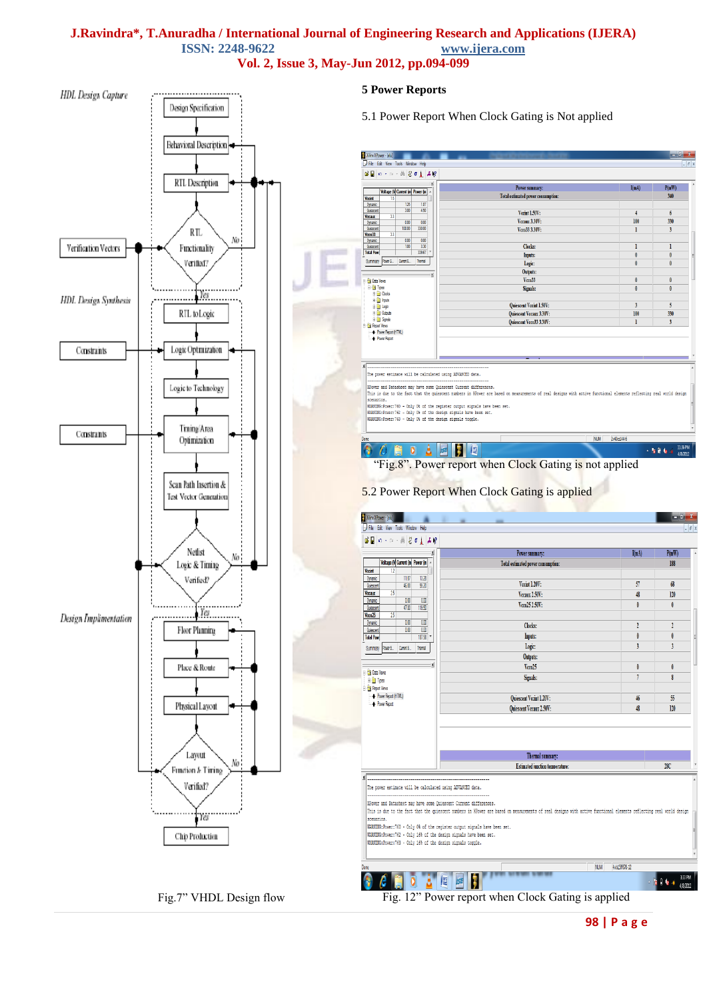### **J.Ravindra\*, T.Anuradha / International Journal of Engineering Research and Applications (IJERA) ISSN: 2248-9622 Vol. 2, Issue 3, May-Jun 2012, pp.094-099**

**5 Power Reports HDL** Design Capture Design Specification 5.1 Power Report When Clock Gating is Not applied Behavioral Description Xilinx XPower - [alu]  $\mathcal{C} \sqcup \mathcal{A}$  .  $\mathbf{A}[\mathbf{1}$  o  $\mathbf{S}$  (a) RTL Description  $I(mA)$  $P(mW)$ Power summary: Voltage (V Current (m Power (m Tatal a mated power c  $\overline{\mathbf{u}}$ **Vicent**  $\frac{125}{3.00}$ Dynamic  $\frac{187}{450}$ Vecint 1.50V  $\epsilon$ *l*ccaux Vecaux 3.30V  $\begin{array}{|c|c|c|}\hline 0.00 & 0.00 \ \hline 100.00 & 330.00 \ \hline \end{array}$  $100$ 330 Dynamic<br>Quiescent<br>Vicco 33 Veco33 3.30V ī  $\overline{\mathbf{3}}$ RTL.  $\overline{33}$ No  $\begin{array}{c}\n\hline\n0.00 \\
\hline\n1.00\n\end{array}$ Clocks Verification Vectors Functionality Quescert Inputs:<br>Logic: Verified? Summary Power S., Curent S., Themal Outputs:<br>Vcco33 **Ca** Data View in <mark>a</mark>n Types<br>in an <mark>an</mark> Oxd Signals Yes **HDL** Design Synthesis **E in** Inputs<br> **E in** Logic<br> **E in** Outputs<br> **E in** Sgrads scent Vccint 1.50V RTL to Logic cent Vecaux 3.30V 330 cent Vcco33 3.30V Power Report (HTML Power Repo<br>- Power Repo Constraints Logic Optimization The power estimate will be calculated using ADVANCED data Logic to Technology XPower and Datasheet may have some Quiescent Current differences.<br>This is due to the fact that the quiescent numbers in XPower are based on measur ments of real designs with active functional elements reflecting real world design scenarios.<br>NARMING:Fower:760 - Only O4 of the register output signals have been set<br>NARMING:Fower:762 - Only O4 of the design signals have been set.<br>NARMING:Fower:763 - Only O4 of the design signals toggle. Tining/Area Constrants NUM 2v40cs144-6 Optimization  $+18.0\,$  k  $\times$ "Fig.8". Power report when Clock Gating is not applied Scan Path Insertion & 5.2 Power Report When Clock Gating is applied Test Vector Generation **Xilinx XPower - [alu]** File Edit View Tools Window Help Netlist Power summary  $P(mW)$ No  $\label{thm:1} \begin{array}{|l|} \hline \text{Voltage (N Current (m) Power (m)} \end{array}$ Total estimated power cons 188 Logic & Timing Vocint  $\overline{132}$ Verified? Dynamic Vecint 1.20V  $\overline{57}$  $68$ 46.00 55.20  $\overline{25}$ Vecaux 2.50V:  $\overline{120}$ **Vccaux** 48  $\overline{a}$  $\overline{a}$ Dynamic Vcco25 2.50V  $\theta$ 47.80 119.50 Quiescen Yes.  $V_{000}$ 25  $\overline{25}$ Design Implimentation  $\frac{1}{10}$  $\overline{00}$ Dynamic Clocks  $\mathbf{1}$  $\overline{2}$  $\frac{1}{100}$ Fleer Planning  $\frac{100}{187.98}$ Inputs: **I**  $\theta$ Logic:  $\overline{\mathbf{3}}$ Summary PowerS... Curent S... Themal Outputs: Place & Route  $Vcco25$ **B** Oata Vew Signals:  $\boldsymbol{s}$ n<br>1976 Types **B** Report Views Power Report (HTML)  $\overline{5}$ Quiescent Vccint 1.20V 46 Physical Layott **Ouiescent Vccaux 2.50V** 48  $120$ Layut Thermal summary: No **Extimated inaction temperatures**  $280$ Function J. Timing .<br>The power estimate will be calculated using ADVANCED data. Verified? XPower and Datasheet may have some Quiescent Current differences. This is due to the fact that the quiescent numbers in XPower are based on measurements of real designs with active functional elements reflecting real world design  $r_{\ell s}$ scenarios. SUCRIMING:<br>WARNING:Power:760 - Only 0% of the register output signals have been set<br>WARNING:Power:762 - Only 16% of the design signals have been set. Chip Production WARNING:Power:763 - Only 16% of the design signals toggle. NUM 4td3ff676-12 **PLANE PALE** Ō À  $\mathbb{E}$ **IS**  $\blacksquare$ Fig.7" VHDL Design flow Fig. 12" Power report when Clock Gating is applied